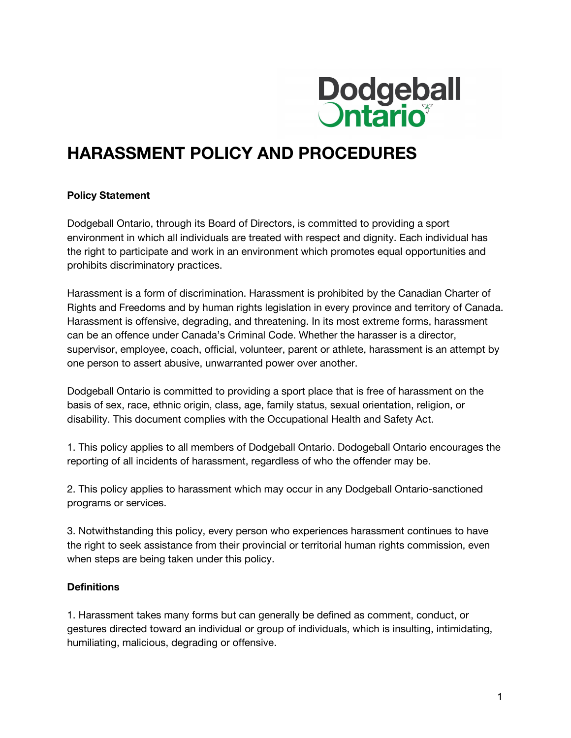

# **HARASSMENT POLICY AND PROCEDURES**

#### **Policy Statement**

Dodgeball Ontario, through its Board of Directors, is committed to providing a sport environment in which all individuals are treated with respect and dignity. Each individual has the right to participate and work in an environment which promotes equal opportunities and prohibits discriminatory practices.

Harassment is a form of discrimination. Harassment is prohibited by the Canadian Charter of Rights and Freedoms and by human rights legislation in every province and territory of Canada. Harassment is offensive, degrading, and threatening. In its most extreme forms, harassment can be an offence under Canada's Criminal Code. Whether the harasser is a director, supervisor, employee, coach, official, volunteer, parent or athlete, harassment is an attempt by one person to assert abusive, unwarranted power over another.

Dodgeball Ontario is committed to providing a sport place that is free of harassment on the basis of sex, race, ethnic origin, class, age, family status, sexual orientation, religion, or disability. This document complies with the Occupational Health and Safety Act.

1. This policy applies to all members of Dodgeball Ontario. Dodogeball Ontario encourages the reporting of all incidents of harassment, regardless of who the offender may be.

2. This policy applies to harassment which may occur in any Dodgeball Ontario-sanctioned programs or services.

3. Notwithstanding this policy, every person who experiences harassment continues to have the right to seek assistance from their provincial or territorial human rights commission, even when steps are being taken under this policy.

#### **Definitions**

1. Harassment takes many forms but can generally be defined as comment, conduct, or gestures directed toward an individual or group of individuals, which is insulting, intimidating, humiliating, malicious, degrading or offensive.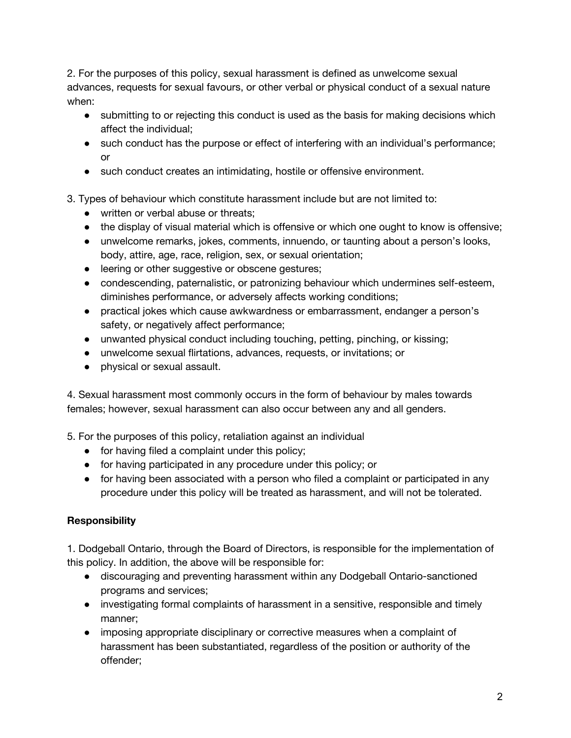2. For the purposes of this policy, sexual harassment is defined as unwelcome sexual advances, requests for sexual favours, or other verbal or physical conduct of a sexual nature when:

- submitting to or rejecting this conduct is used as the basis for making decisions which affect the individual;
- such conduct has the purpose or effect of interfering with an individual's performance; or
- such conduct creates an intimidating, hostile or offensive environment.
- 3. Types of behaviour which constitute harassment include but are not limited to:
	- written or verbal abuse or threats:
	- the display of visual material which is offensive or which one ought to know is offensive;
	- unwelcome remarks, jokes, comments, innuendo, or taunting about a person's looks, body, attire, age, race, religion, sex, or sexual orientation;
	- leering or other suggestive or obscene gestures;
	- condescending, paternalistic, or patronizing behaviour which undermines self-esteem, diminishes performance, or adversely affects working conditions;
	- practical jokes which cause awkwardness or embarrassment, endanger a person's safety, or negatively affect performance;
	- unwanted physical conduct including touching, petting, pinching, or kissing;
	- unwelcome sexual flirtations, advances, requests, or invitations; or
	- physical or sexual assault.

4. Sexual harassment most commonly occurs in the form of behaviour by males towards females; however, sexual harassment can also occur between any and all genders.

5. For the purposes of this policy, retaliation against an individual

- for having filed a complaint under this policy;
- for having participated in any procedure under this policy; or
- for having been associated with a person who filed a complaint or participated in any procedure under this policy will be treated as harassment, and will not be tolerated.

# **Responsibility**

1. Dodgeball Ontario, through the Board of Directors, is responsible for the implementation of this policy. In addition, the above will be responsible for:

- discouraging and preventing harassment within any Dodgeball Ontario-sanctioned programs and services;
- investigating formal complaints of harassment in a sensitive, responsible and timely manner;
- imposing appropriate disciplinary or corrective measures when a complaint of harassment has been substantiated, regardless of the position or authority of the offender;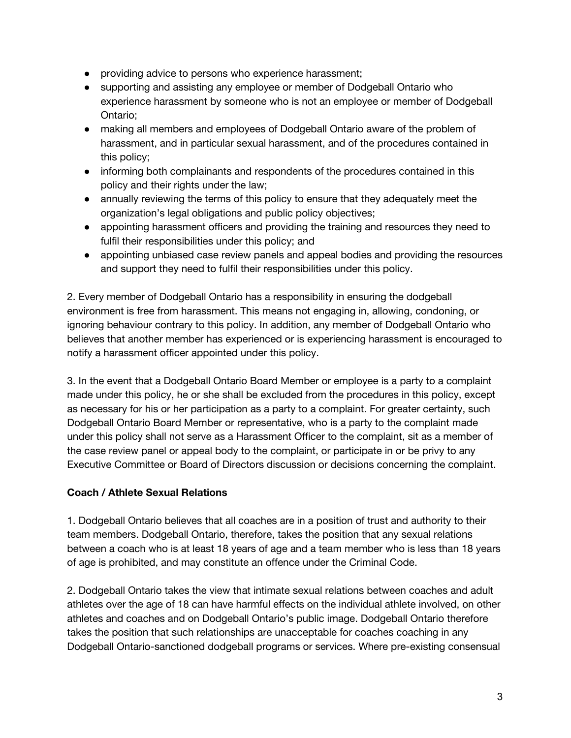- providing advice to persons who experience harassment;
- supporting and assisting any employee or member of Dodgeball Ontario who experience harassment by someone who is not an employee or member of Dodgeball Ontario;
- making all members and employees of Dodgeball Ontario aware of the problem of harassment, and in particular sexual harassment, and of the procedures contained in this policy;
- informing both complainants and respondents of the procedures contained in this policy and their rights under the law;
- annually reviewing the terms of this policy to ensure that they adequately meet the organization's legal obligations and public policy objectives;
- appointing harassment officers and providing the training and resources they need to fulfil their responsibilities under this policy; and
- appointing unbiased case review panels and appeal bodies and providing the resources and support they need to fulfil their responsibilities under this policy.

2. Every member of Dodgeball Ontario has a responsibility in ensuring the dodgeball environment is free from harassment. This means not engaging in, allowing, condoning, or ignoring behaviour contrary to this policy. In addition, any member of Dodgeball Ontario who believes that another member has experienced or is experiencing harassment is encouraged to notify a harassment officer appointed under this policy.

3. In the event that a Dodgeball Ontario Board Member or employee is a party to a complaint made under this policy, he or she shall be excluded from the procedures in this policy, except as necessary for his or her participation as a party to a complaint. For greater certainty, such Dodgeball Ontario Board Member or representative, who is a party to the complaint made under this policy shall not serve as a Harassment Officer to the complaint, sit as a member of the case review panel or appeal body to the complaint, or participate in or be privy to any Executive Committee or Board of Directors discussion or decisions concerning the complaint.

# **Coach / Athlete Sexual Relations**

1. Dodgeball Ontario believes that all coaches are in a position of trust and authority to their team members. Dodgeball Ontario, therefore, takes the position that any sexual relations between a coach who is at least 18 years of age and a team member who is less than 18 years of age is prohibited, and may constitute an offence under the Criminal Code.

2. Dodgeball Ontario takes the view that intimate sexual relations between coaches and adult athletes over the age of 18 can have harmful effects on the individual athlete involved, on other athletes and coaches and on Dodgeball Ontario's public image. Dodgeball Ontario therefore takes the position that such relationships are unacceptable for coaches coaching in any Dodgeball Ontario-sanctioned dodgeball programs or services. Where pre-existing consensual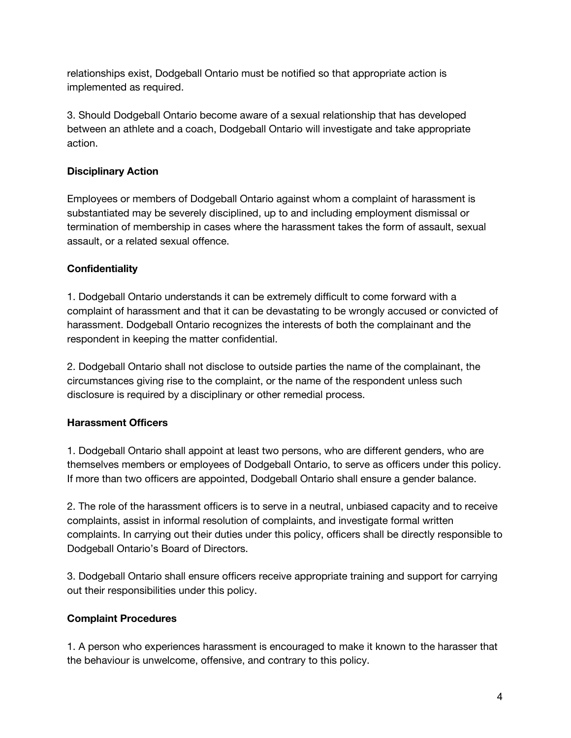relationships exist, Dodgeball Ontario must be notified so that appropriate action is implemented as required.

3. Should Dodgeball Ontario become aware of a sexual relationship that has developed between an athlete and a coach, Dodgeball Ontario will investigate and take appropriate action.

## **Disciplinary Action**

Employees or members of Dodgeball Ontario against whom a complaint of harassment is substantiated may be severely disciplined, up to and including employment dismissal or termination of membership in cases where the harassment takes the form of assault, sexual assault, or a related sexual offence.

# **Confidentiality**

1. Dodgeball Ontario understands it can be extremely difficult to come forward with a complaint of harassment and that it can be devastating to be wrongly accused or convicted of harassment. Dodgeball Ontario recognizes the interests of both the complainant and the respondent in keeping the matter confidential.

2. Dodgeball Ontario shall not disclose to outside parties the name of the complainant, the circumstances giving rise to the complaint, or the name of the respondent unless such disclosure is required by a disciplinary or other remedial process.

# **Harassment Officers**

1. Dodgeball Ontario shall appoint at least two persons, who are different genders, who are themselves members or employees of Dodgeball Ontario, to serve as officers under this policy. If more than two officers are appointed, Dodgeball Ontario shall ensure a gender balance.

2. The role of the harassment officers is to serve in a neutral, unbiased capacity and to receive complaints, assist in informal resolution of complaints, and investigate formal written complaints. In carrying out their duties under this policy, officers shall be directly responsible to Dodgeball Ontario's Board of Directors.

3. Dodgeball Ontario shall ensure officers receive appropriate training and support for carrying out their responsibilities under this policy.

### **Complaint Procedures**

1. A person who experiences harassment is encouraged to make it known to the harasser that the behaviour is unwelcome, offensive, and contrary to this policy.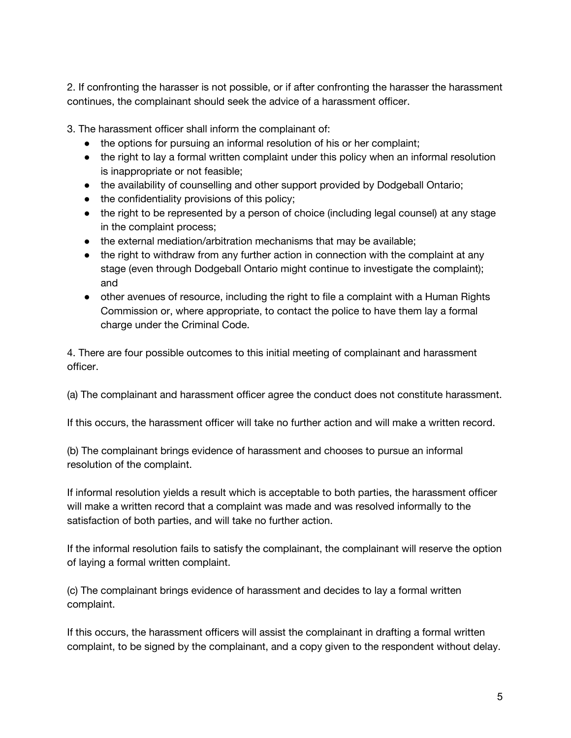2. If confronting the harasser is not possible, or if after confronting the harasser the harassment continues, the complainant should seek the advice of a harassment officer.

3. The harassment officer shall inform the complainant of:

- the options for pursuing an informal resolution of his or her complaint;
- the right to lay a formal written complaint under this policy when an informal resolution is inappropriate or not feasible;
- the availability of counselling and other support provided by Dodgeball Ontario;
- the confidentiality provisions of this policy;
- the right to be represented by a person of choice (including legal counsel) at any stage in the complaint process;
- the external mediation/arbitration mechanisms that may be available;
- the right to withdraw from any further action in connection with the complaint at any stage (even through Dodgeball Ontario might continue to investigate the complaint); and
- other avenues of resource, including the right to file a complaint with a Human Rights Commission or, where appropriate, to contact the police to have them lay a formal charge under the Criminal Code.

4. There are four possible outcomes to this initial meeting of complainant and harassment officer.

(a) The complainant and harassment officer agree the conduct does not constitute harassment.

If this occurs, the harassment officer will take no further action and will make a written record.

(b) The complainant brings evidence of harassment and chooses to pursue an informal resolution of the complaint.

If informal resolution yields a result which is acceptable to both parties, the harassment officer will make a written record that a complaint was made and was resolved informally to the satisfaction of both parties, and will take no further action.

If the informal resolution fails to satisfy the complainant, the complainant will reserve the option of laying a formal written complaint.

(c) The complainant brings evidence of harassment and decides to lay a formal written complaint.

If this occurs, the harassment officers will assist the complainant in drafting a formal written complaint, to be signed by the complainant, and a copy given to the respondent without delay.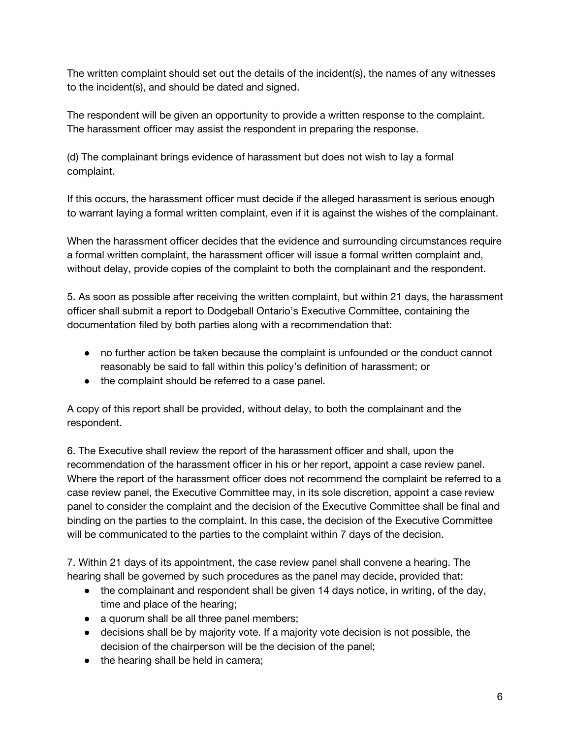The written complaint should set out the details of the incident(s), the names of any witnesses to the incident(s), and should be dated and signed.

The respondent will be given an opportunity to provide a written response to the complaint. The harassment officer may assist the respondent in preparing the response.

(d) The complainant brings evidence of harassment but does not wish to lay a formal complaint.

If this occurs, the harassment officer must decide if the alleged harassment is serious enough to warrant laying a formal written complaint, even if it is against the wishes of the complainant.

When the harassment officer decides that the evidence and surrounding circumstances require a formal written complaint, the harassment officer will issue a formal written complaint and, without delay, provide copies of the complaint to both the complainant and the respondent.

5. As soon as possible after receiving the written complaint, but within 21 days, the harassment officer shall submit a report to Dodgeball Ontario's Executive Committee, containing the documentation filed by both parties along with a recommendation that:

- no further action be taken because the complaint is unfounded or the conduct cannot reasonably be said to fall within this policy's definition of harassment; or
- the complaint should be referred to a case panel.

A copy of this report shall be provided, without delay, to both the complainant and the respondent.

6. The Executive shall review the report of the harassment officer and shall, upon the recommendation of the harassment officer in his or her report, appoint a case review panel. Where the report of the harassment officer does not recommend the complaint be referred to a case review panel, the Executive Committee may, in its sole discretion, appoint a case review panel to consider the complaint and the decision of the Executive Committee shall be final and binding on the parties to the complaint. In this case, the decision of the Executive Committee will be communicated to the parties to the complaint within 7 days of the decision.

7. Within 21 days of its appointment, the case review panel shall convene a hearing. The hearing shall be governed by such procedures as the panel may decide, provided that:

- the complainant and respondent shall be given 14 days notice, in writing, of the day, time and place of the hearing;
- a quorum shall be all three panel members;
- decisions shall be by majority vote. If a majority vote decision is not possible, the decision of the chairperson will be the decision of the panel;
- the hearing shall be held in camera;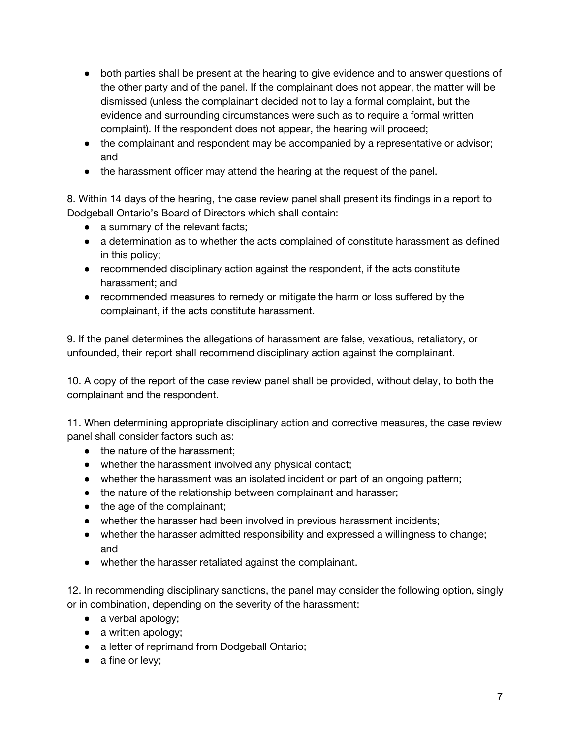- both parties shall be present at the hearing to give evidence and to answer questions of the other party and of the panel. If the complainant does not appear, the matter will be dismissed (unless the complainant decided not to lay a formal complaint, but the evidence and surrounding circumstances were such as to require a formal written complaint). If the respondent does not appear, the hearing will proceed;
- the complainant and respondent may be accompanied by a representative or advisor; and
- the harassment officer may attend the hearing at the request of the panel.

8. Within 14 days of the hearing, the case review panel shall present its findings in a report to Dodgeball Ontario's Board of Directors which shall contain:

- a summary of the relevant facts;
- a determination as to whether the acts complained of constitute harassment as defined in this policy;
- recommended disciplinary action against the respondent, if the acts constitute harassment; and
- recommended measures to remedy or mitigate the harm or loss suffered by the complainant, if the acts constitute harassment.

9. If the panel determines the allegations of harassment are false, vexatious, retaliatory, or unfounded, their report shall recommend disciplinary action against the complainant.

10. A copy of the report of the case review panel shall be provided, without delay, to both the complainant and the respondent.

11. When determining appropriate disciplinary action and corrective measures, the case review panel shall consider factors such as:

- the nature of the harassment;
- whether the harassment involved any physical contact;
- whether the harassment was an isolated incident or part of an ongoing pattern;
- the nature of the relationship between complainant and harasser;
- the age of the complainant;
- whether the harasser had been involved in previous harassment incidents;
- whether the harasser admitted responsibility and expressed a willingness to change; and
- whether the harasser retaliated against the complainant.

12. In recommending disciplinary sanctions, the panel may consider the following option, singly or in combination, depending on the severity of the harassment:

- a verbal apology;
- a written apology;
- a letter of reprimand from Dodgeball Ontario;
- a fine or levy;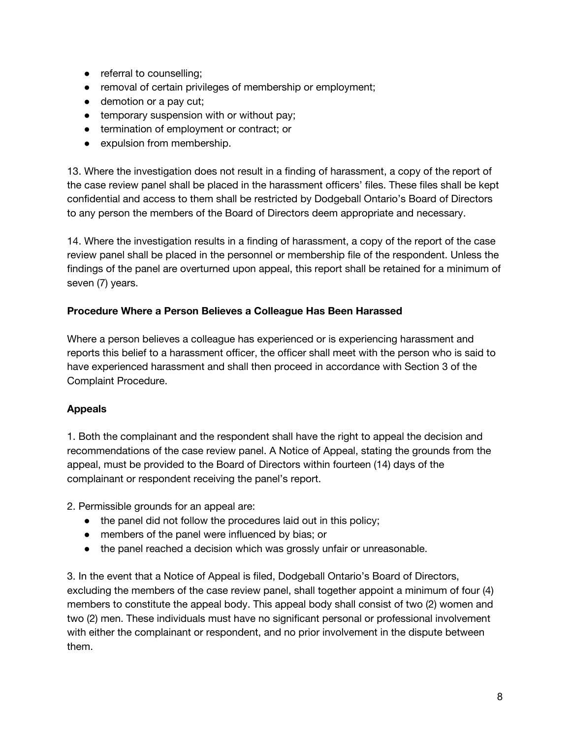- referral to counselling;
- removal of certain privileges of membership or employment;
- demotion or a pay cut;
- temporary suspension with or without pay;
- termination of employment or contract; or
- expulsion from membership.

13. Where the investigation does not result in a finding of harassment, a copy of the report of the case review panel shall be placed in the harassment officers' files. These files shall be kept confidential and access to them shall be restricted by Dodgeball Ontario's Board of Directors to any person the members of the Board of Directors deem appropriate and necessary.

14. Where the investigation results in a finding of harassment, a copy of the report of the case review panel shall be placed in the personnel or membership file of the respondent. Unless the findings of the panel are overturned upon appeal, this report shall be retained for a minimum of seven (7) years.

### **Procedure Where a Person Believes a Colleague Has Been Harassed**

Where a person believes a colleague has experienced or is experiencing harassment and reports this belief to a harassment officer, the officer shall meet with the person who is said to have experienced harassment and shall then proceed in accordance with Section 3 of the Complaint Procedure.

### **Appeals**

1. Both the complainant and the respondent shall have the right to appeal the decision and recommendations of the case review panel. A Notice of Appeal, stating the grounds from the appeal, must be provided to the Board of Directors within fourteen (14) days of the complainant or respondent receiving the panel's report.

2. Permissible grounds for an appeal are:

- the panel did not follow the procedures laid out in this policy;
- members of the panel were influenced by bias; or
- the panel reached a decision which was grossly unfair or unreasonable.

3. In the event that a Notice of Appeal is filed, Dodgeball Ontario's Board of Directors, excluding the members of the case review panel, shall together appoint a minimum of four (4) members to constitute the appeal body. This appeal body shall consist of two (2) women and two (2) men. These individuals must have no significant personal or professional involvement with either the complainant or respondent, and no prior involvement in the dispute between them.